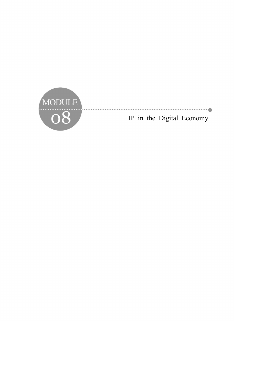

IP in the Digital Economy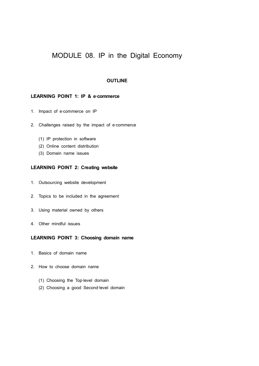# MODULE 08. IP in the Digital Economy

# **OUTLINE**

# LEARNING POINT 1: IP & e-commerce

- 1. Impact of e-commerce on IP
- 2. Challenges raised by the impact of e-commerce
	- (1) IP protection in software
	- (2) Online content distribution
	- (3) Domain name issues

# **LEARNING POINT 2: Creating website**

- 1. Outsourcing website development
- 2. Topics to be included in the agreement
- 3. Using material owned by others
- 4. Other mindful issues

# **LEARNING POINT 3: Choosing domain name**

- 1. Basics of domain name
- 2. How to choose domain name
	- (1) Choosing the Top‐level domain
	- (2) Choosing a good Second‐level domain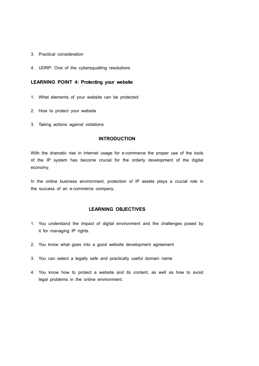- 3. Practical consideration
- 4. UDRP: One of the cybersquatting resolutions

# **LEARNING POINT 4: Protecting your website**

- 1. What elements of your website can be protected
- 2. How to protect your website
- 3. Taking actions against violations

# **INTRODUCTION**

With the dramatic rise in Internet usage for e-commerce the proper use of the tools of the IP system has become crucial for the orderly development of the digital economy.

In the online business environment, protection of IP assets plays a crucial role in the success of an e-commerce company.

# **LEARNING OBJECTIVES**

- 1. You understand the impact of digital environment and the challenges posed by it for managing IP rights.
- 2. You know what goes into a good website development agreement
- 3. You can select a legally safe and practically useful domain name
- 4. You know how to protect a website and its content, as well as how to avoid legal problems in the online environment.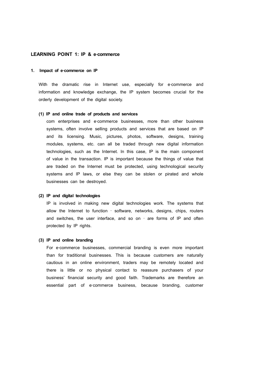# LEARNING POINT 1: IP & e-commerce

#### **1. Impact of e**‐**commerce on IP**

With the dramatic rise in Internet use, especially for e-commerce and information and knowledge exchange, the IP system becomes crucial for the orderly development of the digital society.

#### **(1) IP and online trade of products and services**

com enterprises and e-commerce businesses, more than other business systems, often involve selling products and services that are based on IP and its licensing. Music, pictures, photos, software, designs, training modules, systems, etc. can all be traded through new digital information technologies, such as the Internet. In this case, IP is the main component of value in the transaction. IP is important because the things of value that are traded on the Internet must be protected, using technological security systems and IP laws, or else they can be stolen or pirated and whole businesses can be destroyed.

#### **(2) IP and digital technologies**

IP is involved in making new digital technologies work. The systems that allow the Internet to function ‐ software, networks, designs, chips, routers and switches, the user interface, and so on ‐ are forms of IP and often protected by IP rights.

#### **(3) IP and online branding**

For e-commerce businesses, commercial branding is even more important than for traditional businesses. This is because customers are naturally cautious in an online environment, traders may be remotely located and there is little or no physical contact to reassure purchasers of your business' financial security and good faith. Trademarks are therefore an essential part of e‐commerce business, because branding, customer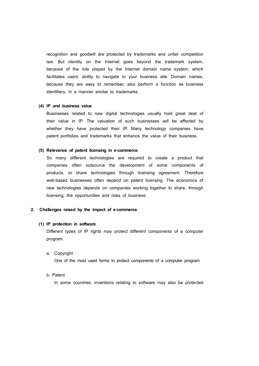recognition and goodwill are protected by trademarks and unfair competition law. But identity on the Internet goes beyond the trademark system, because of the role played by the Internet domain name system, which facilitates users' ability to navigate to your business site. Domain names, because they are easy to remember, also perform a function as business identifiers, in a manner similar to trademarks.

## **(4) IP and business value**

Businesses related to new digital technologies usually hold great deal of their value in IP. The valuation of such businesses will be affected by whether they have protected their IP. Many technology companies have patent portfolios and trademarks that enhance the value of their business.

## **(5) Relevance of patent licensing in e**‐**commerce**

So many different technologies are required to create a product that companies often outsource the development of some components of products, or share technologies through licensing agreement. Therefore web-based businesses often depend on patent licensing. The economics of new technologies depends on companies working together to share, through licensing, the opportunities and risks of business.

## **2. Challenges raised by the impact of e**‐**commerce**

#### **(1) IP protection in software**

Different types of IP rights may protect different components of a computer program.

#### a. Copyright

One of the most used forms to protect components of a computer program

## b. Patent

In some countries, inventions relating to software may also be protected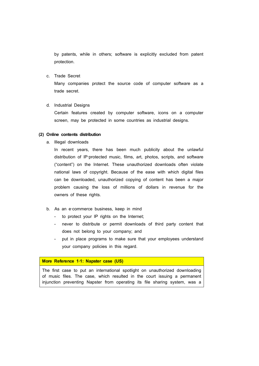by patents, while in others; software is explicitly excluded from patent protection.

c. Trade Secret

Many companies protect the source code of computer software as a trade secret.

d. Industrial Designs

Certain features created by computer software, icons on a computer screen, may be protected in some countries as industrial designs.

# **(2) Online contents distribution**

a. Illegal downloads

In recent years, there has been much publicity about the unlawful distribution of IP‐protected music, films, art, photos, scripts, and software ("content") on the Internet. These unauthorized downloads often violate national laws of copyright. Because of the ease with which digital files can be downloaded, unauthorized copying of content has been a major problem causing the loss of millions of dollars in revenue for the owners of these rights.

- b. As an e-commerce business, keep in mind
	-
	- to protect your IP rights on the Internet;<br>- never to distribute or permit downloads of third party content that does not belong to your company; and
	- put in place programs to make sure that your employees understand your company policies in this regard.

**More Reference 1**‐**1: Napster case (US)**

The first case to put an international spotlight on unauthorized downloading of music files. The case, which resulted in the court issuing a permanent injunction preventing Napster from operating its file sharing system, was a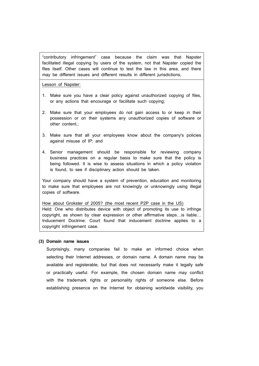"contributory infringement" case because the claim was that Napster facilitated illegal copying by users of the system, not that Napster copied the files itself. Other cases will continue to test the law in this area, and there may be different issues and different results in different jurisdictions,

Lesson of Napster:

- 1. Make sure you have a clear policy against unauthorized copying of files, or any actions that encourage or facilitate such copying;
- 2. Make sure that your employees do not gain access to or keep in their possession or on their systems any unauthorized copies of software or other content.;
- 3. Make sure that all your employees know about the company's policies against misuse of IP; and
- 4. Senior management should be responsible for reviewing company business practices on a regular basis to make sure that the policy is being followed. It is wise to assess situations in which a policy violation is found, to see if disciplinary action should be taken.

Your company should have a system of prevention, education and monitoring to make sure that employees are not knowingly or unknowingly using illegal copies of software.

How about Grokster of 2005? (the most recent P2P case in the US) Held: One who distributes device with object of promoting its use to infringe copyright, as shown by clear expression or other affirmative steps…is liable… Inducement Doctrine: Court found that inducement doctrine applies to a copyright infringement case.

## **(3) Domain name issues**

Surprisingly, many companies fail to make an informed choice when selecting their Internet addresses, or domain name. A domain name may be available and registerable, but that does not necessarily make it legally safe or practically useful. For example, the chosen domain name may conflict with the trademark rights or personality rights of someone else. Before establishing presence on the Internet for obtaining worldwide visibility, you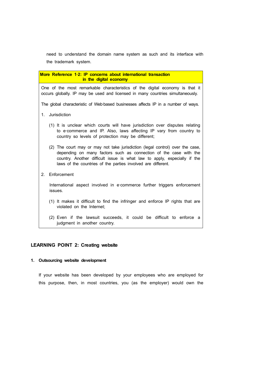need to understand the domain name system as such and its interface with the trademark system.

**More Reference 1**‐**2: IP concerns about international transaction in the digital economy** One of the most remarkable characteristics of the digital economy is that it occurs globally. IP may be used and licensed in many countries simultaneously. The global characteristic of Web-based businesses affects IP in a number of ways. 1. Jurisdiction (1) It is unclear which courts will have jurisdiction over disputes relating to e-commerce and IP. Also, laws affecting IP vary from country to country so levels of protection may be different; (2) The court may or may not take jurisdiction (legal control) over the case, depending on many factors such as connection of the case with the country. Another difficult issue is what law to apply, especially if the laws of the countries of the parties involved are different. 2. Enforcement International aspect involved in e-commerce further triggers enforcement issues. (1) It makes it difficult to find the infringer and enforce IP rights that are violated on the Internet; (2) Even if the lawsuit succeeds, it could be difficult to enforce a

# **LEARNING POINT 2: Creating website**

judgment in another country.

# **1. Outsourcing website development**

If your website has been developed by your employees who are employed for this purpose, then, in most countries, you (as the employer) would own the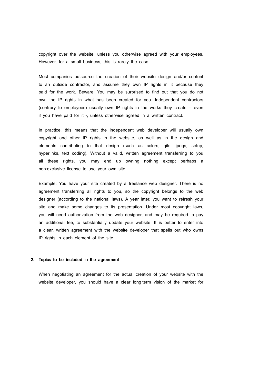copyright over the website, unless you otherwise agreed with your employees. However, for a small business, this is rarely the case.

Most companies outsource the creation of their website design and/or content to an outside contractor, and assume they own IP rights in it because they paid for the work. Beware! You may be surprised to find out that you do not own the IP rights in what has been created for you. Independent contractors (contrary to employees) usually own IP rights in the works they create – even if you have paid for it ‐, unless otherwise agreed in a written contract.

In practice, this means that the independent web developer will usually own copyright and other IP rights in the website, as well as in the design and elements contributing to that design (such as colors, gifs, jpegs, setup, hyperlinks, text coding). Without a valid, written agreement transferring to you all these rights, you may end up owning nothing except perhaps a non‐exclusive license to use your own site.

Example: You have your site created by a freelance web designer. There is no agreement transferring all rights to you, so the copyright belongs to the web designer (according to the national laws). A year later, you want to refresh your site and make some changes to its presentation. Under most copyright laws, you will need authorization from the web designer, and may be required to pay an additional fee, to substantially update your website. It is better to enter into a clear, written agreement with the website developer that spells out who owns IP rights in each element of the site.

#### **2. Topics to be included in the agreement**

When negotiating an agreement for the actual creation of your website with the website developer, you should have a clear long-term vision of the market for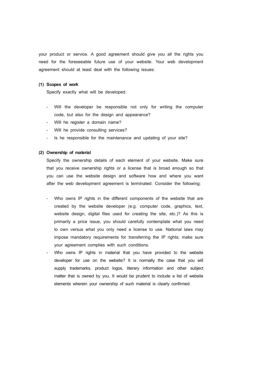your product or service. A good agreement should give you all the rights you need for the foreseeable future use of your website. Your web development agreement should at least deal with the following issues:

#### **(1) Scopes of work**

Specify exactly what will be developed.

- Will the developer be responsible not only for writing the computer code, but also for the design and appearance?<br>
- Will he register a domain name?<br>
- Will he provide consulting services?<br>
- Is he responsible for the maintenance and updating of your site?
- 
- 
- 

## **(2) Ownership of material**

Specify the ownership details of each element of your website. Make sure that you receive ownership rights or a license that is broad enough so that you can use the website design and software how and where you want after the web development agreement is terminated. Consider the following:

- Who owns IP rights in the different components of the website that are created by the website developer (e.g. computer code, graphics, text, website design, digital files used for creating the site, etc.)? As this is primarily a price issue, you should carefully contemplate what you need to own versus what you only need a license to use. National laws may impose mandatory requirements for transferring the IP rights; make sure your agreement complies with such conditions.
- Who owns IP rights in material that you have provided to the website developer for use on the website? It is normally the case that you will supply trademarks, product logos, literary information and other subject matter that is owned by you. It would be prudent to include a list of website elements wherein your ownership of such material is clearly confirmed.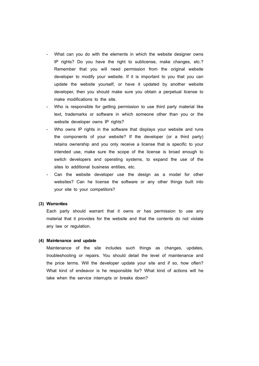- What can you do with the elements in which the website designer owns IP rights? Do you have the right to sublicense, make changes, etc.? Remember that you will need permission from the original website developer to modify your website. If it is important to you that you can update the website yourself, or have it updated by another website developer, then you should make sure you obtain a perpetual license to make modifications to the site.
- Who is responsible for getting permission to use third party material like text, trademarks or software in which someone other than you or the website developer owns IP rights?<br>Who owns IP rights in the software that displays your website and runs
- the components of your website? If the developer (or a third party) retains ownership and you only receive a license that is specific to your intended use, make sure the scope of the license is broad enough to switch developers and operating systems, to expand the use of the sites to additional business entities, etc.
- Can the website developer use the design as a model for other websites? Can he license the software or any other things built into your site to your competitors?

#### **(3) Warranties**

Each party should warrant that it owns or has permission to use any material that it provides for the website and that the contents do not violate any law or regulation.

#### **(4) Maintenance and update**

Maintenance of the site includes such things as changes, updates, troubleshooting or repairs. You should detail the level of maintenance and the price terms. Will the developer update your site and if so, how often? What kind of endeavor is he responsible for? What kind of actions will he take when the service interrupts or breaks down?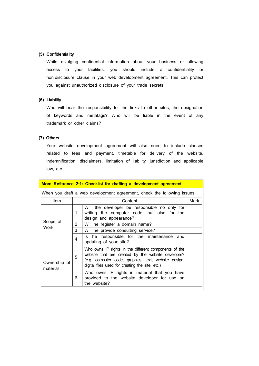## **(5) Confidentiality**

While divulging confidential information about your business or allowing access to your facilities, you should include a confidentiality or non‐disclosure clause in your web development agreement. This can protect you against unauthorized disclosure of your trade secrets.

## **(6) Liability**

Who will bear the responsibility for the links to other sites, the designation of keywords and metatags? Who will be liable in the event of any trademark or other claims?

## **(7) Others**

Your website development agreement will also need to include clauses related to fees and payment, timetable for delivery of the website, indemnification, disclaimers, limitation of liability, jurisdiction and applicable law, etc.

|                                                                         |                | More Reference 2-1: Checklist for drafting a development agreement                                                                                                                                                     |  |  |  |  |
|-------------------------------------------------------------------------|----------------|------------------------------------------------------------------------------------------------------------------------------------------------------------------------------------------------------------------------|--|--|--|--|
| When you draft a web development agreement, check the following issues. |                |                                                                                                                                                                                                                        |  |  |  |  |
| Item                                                                    |                | Content<br>Mark                                                                                                                                                                                                        |  |  |  |  |
| Scope of<br>Work                                                        | 1              | Will the developer be responsible no only for<br>writing the computer code, but also for the<br>design and appearance?                                                                                                 |  |  |  |  |
|                                                                         | $\overline{2}$ | Will he register a domain name?                                                                                                                                                                                        |  |  |  |  |
|                                                                         | 3              | Will he provide consulting service?                                                                                                                                                                                    |  |  |  |  |
|                                                                         | 4              | Is he responsible for the maintenance and<br>updating of your site?                                                                                                                                                    |  |  |  |  |
| Ownership of<br>material                                                | 5              | Who owns IP rights in the different components of the<br>website that are created by the website developer?<br>(e.g. computer code, graphics, text, website design,<br>digital files used for creating the site, etc.) |  |  |  |  |
|                                                                         | 6              | Who owns IP rights in material that you have<br>provided to the website developer for use on<br>the website?                                                                                                           |  |  |  |  |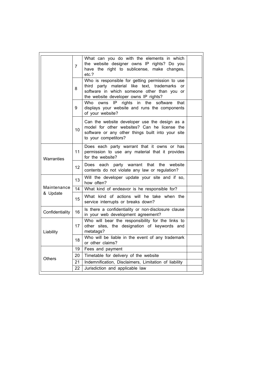|                         | $\overline{7}$  | What can you do with the elements in which<br>the website designer owns IP rights? Do you<br>have the right to sublicense, make changes,<br>etc.?                                                       |  |  |  |  |
|-------------------------|-----------------|---------------------------------------------------------------------------------------------------------------------------------------------------------------------------------------------------------|--|--|--|--|
|                         | 8               | Who is responsible for getting permission to use<br>third party material like text, trademarks<br><sub>or</sub><br>software in which someone other than you or<br>the website developer owns IP rights? |  |  |  |  |
|                         | 9               | rights<br>Who<br>owns<br>IP<br>in<br>the<br>software<br>that<br>displays your website and runs the components<br>of your website?                                                                       |  |  |  |  |
|                         | 10              | Can the website developer use the design as a<br>model for other websites? Can he license the<br>software or any other things built into your site<br>to your competitors?                              |  |  |  |  |
| Warranties              | 11              | Does each party warrant that it owns or has<br>permission to use any material that it provides<br>for the website?                                                                                      |  |  |  |  |
|                         | 12 <sup>2</sup> | Does each party warrant that the<br>website<br>contents do not violate any law or regulation?                                                                                                           |  |  |  |  |
| Maintenance<br>& Update | 13              | Will the developer update your site and if so,<br>how often?                                                                                                                                            |  |  |  |  |
|                         | 14              | What kind of endeavor is he responsible for?                                                                                                                                                            |  |  |  |  |
|                         | 15              | What kind of actions will he take when the<br>service interrupts or breaks down?                                                                                                                        |  |  |  |  |
| Confidentiality         | 16              | Is there a confidentiality or non-disclosure clause<br>in your web development agreement?                                                                                                               |  |  |  |  |
| Liability               | 17              | Who will bear the responsibility for the links to<br>other sites, the designation of keywords and<br>metatags?                                                                                          |  |  |  |  |
|                         | 18              | Who will be liable in the event of any trademark<br>or other claims?                                                                                                                                    |  |  |  |  |
| <b>Others</b>           | 19              | Fees and payment                                                                                                                                                                                        |  |  |  |  |
|                         | 20              | Timetable for delivery of the website                                                                                                                                                                   |  |  |  |  |
|                         | 21              | Indemnification, Disclaimers, Limitation of liability                                                                                                                                                   |  |  |  |  |
|                         | 22              | Jurisdiction and applicable law                                                                                                                                                                         |  |  |  |  |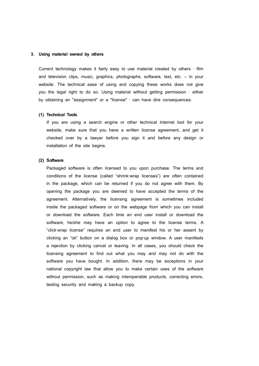#### **3. Using material owned by others**

Current technology makes it fairly easy to use material created by others ‐ film and television clips, music, graphics, photographs, software, text, etc. – in your website. The technical ease of using and copying these works does not give you the legal right to do so. Using material without getting permission ‐ either by obtaining an "assignment" or a "license" ‐ can have dire consequences.

#### **(1) Technical Tools**

If you are using a search engine or other technical Internet tool for your website, make sure that you have a written license agreement, and get it checked over by a lawyer before you sign it and before any design or installation of the site begins.

## **(2) Software**

Packaged software is often licensed to you upon purchase. The terms and conditions of the license (called "shrink‐wrap licenses") are often contained in the package, which can be returned if you do not agree with them. By opening the package you are deemed to have accepted the terms of the agreement. Alternatively, the licensing agreement is sometimes included inside the packaged software or on the webpage from which you can install or download the software. Each time an end user install or download the software, he/she may have an option to agree to the license terms. A "click-wrap license" requires an end user to manifest his or her assent by clicking an "ok" button on a dialog box or pop-up window. A user manifests a rejection by clicking cancel or leaving. In all cases, you should check the licensing agreement to find out what you may and may not do with the software you have bought. In addition, there may be exceptions in your national copyright law that allow you to make certain uses of the software without permission, such as making interoperable products, correcting errors, testing security and making a backup copy.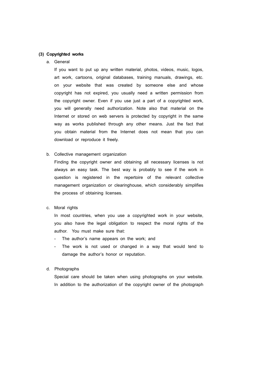## **(3) Copyrighted works**

## a. General

If you want to put up any written material, photos, videos, music, logos, art work, cartoons, original databases, training manuals, drawings, etc. on your website that was created by someone else and whose copyright has not expired, you usually need a written permission from the copyright owner. Even if you use just a part of a copyrighted work, you will generally need authorization. Note also that material on the Internet or stored on web servers is protected by copyright in the same way as works published through any other means. Just the fact that you obtain material from the Internet does not mean that you can download or reproduce it freely.

## b. Collective management organization

Finding the copyright owner and obtaining all necessary licenses is not always an easy task. The best way is probably to see if the work in question is registered in the repertoire of the relevant collective management organization or clearinghouse, which considerably simplifies the process of obtaining licenses.

## c. Moral rights

In most countries, when you use a copyrighted work in your website, you also have the legal obligation to respect the moral rights of the author. You must make sure that:

- The author's name appears on the work; and
- The work is not used or changed in a way that would tend to damage the author's honor or reputation.

#### d. Photographs

Special care should be taken when using photographs on your website. In addition to the authorization of the copyright owner of the photograph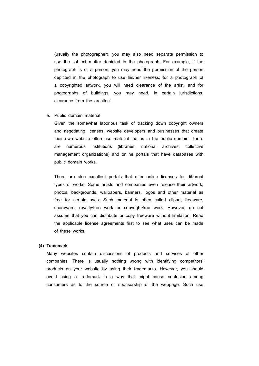(usually the photographer), you may also need separate permission to use the subject matter depicted in the photograph. For example, if the photograph is of a person, you may need the permission of the person depicted in the photograph to use his/her likeness; for a photograph of a copyrighted artwork, you will need clearance of the artist; and for photographs of buildings, you may need, in certain jurisdictions, clearance from the architect.

## e. Public domain material

Given the somewhat laborious task of tracking down copyright owners and negotiating licenses, website developers and businesses that create their own website often use material that is in the public domain. There are numerous institutions (libraries, national archives, collective management organizations) and online portals that have databases with public domain works.

There are also excellent portals that offer online licenses for different types of works. Some artists and companies even release their artwork, photos, backgrounds, wallpapers, banners, logos and other material as free for certain uses. Such material is often called clipart, freeware, shareware, royalty-free work or copyright-free work. However, do not assume that you can distribute or copy freeware without limitation. Read the applicable license agreements first to see what uses can be made of these works.

#### **(4) Trademark**

Many websites contain discussions of products and services of other companies. There is usually nothing wrong with identifying competitors' products on your website by using their trademarks. However, you should avoid using a trademark in a way that might cause confusion among consumers as to the source or sponsorship of the webpage. Such use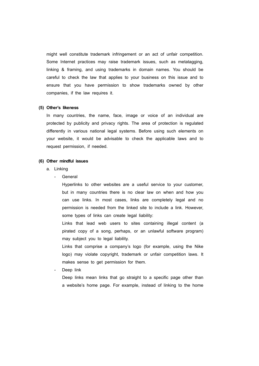might well constitute trademark infringement or an act of unfair competition. Some Internet practices may raise trademark issues, such as metatagging, linking & framing, and using trademarks in domain names. You should be careful to check the law that applies to your business on this issue and to ensure that you have permission to show trademarks owned by other companies, if the law requires it.

## **(5) Other's likeness**

In many countries, the name, face, image or voice of an individual are protected by publicity and privacy rights. The area of protection is regulated differently in various national legal systems. Before using such elements on your website, it would be advisable to check the applicable laws and to request permission, if needed.

## **(6) Other mindful issues**

- a. Linking
	- General

Hyperlinks to other websites are a useful service to your customer, but in many countries there is no clear law on when and how you can use links. In most cases, links are completely legal and no permission is needed from the linked site to include a link. However, some types of links can create legal liability:

Links that lead web users to sites containing illegal content (a pirated copy of a song, perhaps, or an unlawful software program) may subject you to legal liability.

Links that comprise a company's logo (for example, using the Nike logo) may violate copyright, trademark or unfair competition laws. It makes sense to get permission for them.

Deep link

Deep links mean links that go straight to a specific page other than a website's home page. For example, instead of linking to the home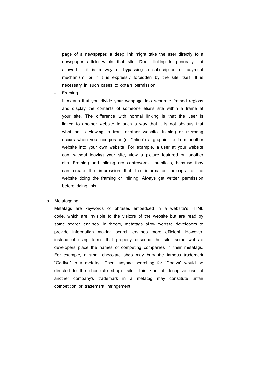page of a newspaper, a deep link might take the user directly to a newspaper article within that site. Deep linking is generally not allowed if it is a way of bypassing a subscription or payment mechanism, or if it is expressly forbidden by the site itself. It is necessary in such cases to obtain permission.

**Framing** 

It means that you divide your webpage into separate framed regions and display the contents of someone else's site within a frame at your site. The difference with normal linking is that the user is linked to another website in such a way that it is not obvious that what he is viewing is from another website. Inlining or mirroring occurs when you incorporate (or "inline") a graphic file from another website into your own website. For example, a user at your website can, without leaving your site, view a picture featured on another site. Framing and inlining are controversial practices, because they can create the impression that the information belongs to the website doing the framing or inlining. Always get written permission before doing this.

## b. Metatagging

Metatags are keywords or phrases embedded in a website's HTML code, which are invisible to the visitors of the website but are read by some search engines. In theory, metatags allow website developers to provide information making search engines more efficient. However, instead of using terms that properly describe the site, some website developers place the names of competing companies in their metatags. For example, a small chocolate shop may bury the famous trademark "Godiva" in a metatag. Then, anyone searching for "Godiva" would be directed to the chocolate shop's site. This kind of deceptive use of another company's trademark in a metatag may constitute unfair competition or trademark infringement.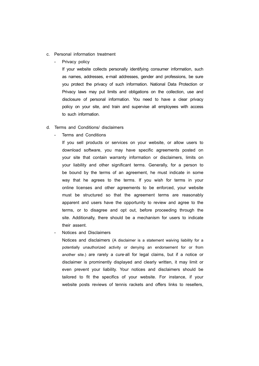- c. Personal information treatment
	- Privacy policy

If your website collects personally identifying consumer information, such as names, addresses, e-mail addresses, gender and professions, be sure you protect the privacy of such information. National Data Protection or Privacy laws may put limits and obligations on the collection, use and disclosure of personal information. You need to have a clear privacy policy on your site, and train and supervise all employees with access to such information.

- d. Terms and Conditions/ disclaimers
	- Terms and Conditions

If you sell products or services on your website, or allow users to download software, you may have specific agreements posted on your site that contain warranty information or disclaimers, limits on your liability and other significant terms. Generally, for a person to be bound by the terms of an agreement, he must indicate in some way that he agrees to the terms. If you wish for terms in your online licenses and other agreements to be enforced, your website must be structured so that the agreement terms are reasonably apparent and users have the opportunity to review and agree to the terms, or to disagree and opt out, before proceeding through the site. Additionally, there should be a mechanism for users to indicate their assent.

Notices and Disclaimers

Notices and disclaimers (A disclaimer is a statement waiving liability for a potentially unauthorized activity or denying an endorsement for or from another site.) are rarely a cure‐all for legal claims, but if a notice or disclaimer is prominently displayed and clearly written, it may limit or even prevent your liability. Your notices and disclaimers should be tailored to fit the specifics of your website. For instance, if your website posts reviews of tennis rackets and offers links to resellers,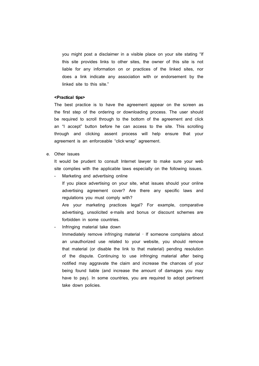you might post a disclaimer in a visible place on your site stating "If this site provides links to other sites, the owner of this site is not liable for any information on or practices of the linked sites, nor does a link indicate any association with or endorsement by the linked site to this site."

## **<Practical tips>**

The best practice is to have the agreement appear on the screen as the first step of the ordering or downloading process. The user should be required to scroll through to the bottom of the agreement and click an "I accept" button before he can access to the site. This scrolling through and clicking assent process will help ensure that your agreement is an enforceable "click‐wrap" agreement.

## e. Other issues

It would be prudent to consult Internet lawyer to make sure your web site complies with the applicable laws especially on the following issues.

Marketing and advertising online

If you place advertising on your site, what issues should your online advertising agreement cover? Are there any specific laws and regulations you must comply with?

Are your marketing practices legal? For example, comparative advertising, unsolicited e-mails and bonus or discount schemes are forbidden in some countries.

- Infringing material take down

Immediately remove infringing material ‐ If someone complains about an unauthorized use related to your website, you should remove that material (or disable the link to that material) pending resolution of the dispute. Continuing to use infringing material after being notified may aggravate the claim and increase the chances of your being found liable (and increase the amount of damages you may have to pay). In some countries, you are required to adopt pertinent take down policies.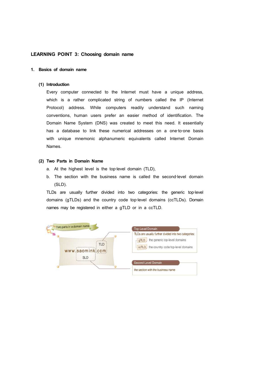# **LEARNING POINT 3: Choosing domain name**

## **1. Basics of domain name**

#### **(1) Introduction**

Every computer connected to the Internet must have a unique address, which is a rather complicated string of numbers called the IP (Internet Protocol) address. While computers readily understand such naming conventions, human users prefer an easier method of identification. The Domain Name System (DNS) was created to meet this need. It essentially has a database to link these numerical addresses on a one-to-one basis with unique mnemonic alphanumeric equivalents called Internet Domain Names.

## **(2) Two Parts in Domain Name**

- a. At the highest level is the top-level domain (TLD),
- b. The section with the business name is called the second-level domain (SLD).

TLDs are usually further divided into two categories: the generic top-level domains (gTLDs) and the country code top-level domains (ccTLDs). Domain names may be registered in either a gTLD or in a ccTLD.

| Two parts in a domain name          | Top-Level Domain                                                                                                                               |
|-------------------------------------|------------------------------------------------------------------------------------------------------------------------------------------------|
| $\bullet$<br>TLD<br>www.saomink.com | TLDs are usually further divided into two categories:<br>the generic top-level domains<br>qTLD<br>the country code top-level domains<br>ccTLD. |
| <b>SLD</b>                          | Second-Level Domain<br>the section with the business name                                                                                      |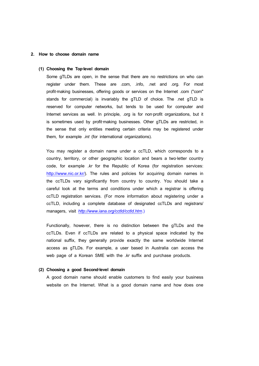## **2. How to choose domain name**

#### **(1) Choosing the Top**‐**level domain**

Some gTLDs are open, in the sense that there are no restrictions on who can register under them. These are .com, .info, .net and .org. For most profit-making businesses, offering goods or services on the Internet .com ("com" stands for commercial) is invariably the gTLD of choice. The .net gTLD is reserved for computer networks, but tends to be used for computer and Internet services as well. In principle, .org is for non-profit organizations, but it is sometimes used by profit-making businesses. Other gTLDs are restricted, in the sense that only entities meeting certain criteria may be registered under them, for example *.int* (for international organizations).

You may register a domain name under a ccTLD, which corresponds to a country, territory, or other geographic location and bears a two‐letter country code, for example *.kr* for the Republic of Korea (for registration services: http://www.nic.or.kr/). The rules and policies for acquiring domain names in the ccTLDs vary significantly from country to country. You should take a careful look at the terms and conditions under which a registrar is offering ccTLD registration services. (For more information about registering under a ccTLD, including a complete database of designated ccTLDs and registrars/ managers, visit *http://www.iana.org/cctld/cctld.htm*.)

Functionally, however, there is no distinction between the gTLDs and the ccTLDs. Even if ccTLDs are related to a physical space indicated by the national suffix, they generally provide exactly the same worldwide Internet access as gTLDs. For example, a user based in Australia can access the web page of a Korean SME with the *.kr* suffix and purchase products.

## **(2) Choosing a good Second**‐**level domain**

A good domain name should enable customers to find easily your business website on the Internet. What is a good domain name and how does one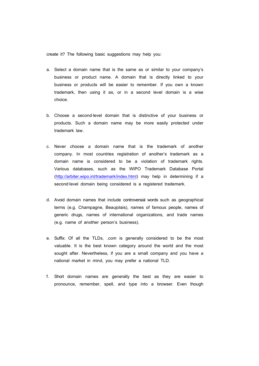create it? The following basic suggestions may help you:

- a. Select a domain name that is the same as or similar to your company's business or product name. A domain that is directly linked to your business or products will be easier to remember. If you own a known trademark, then using it as, or in a second level domain is a wise choice.
- b. Choose a second‐level domain that is distinctive of your business or products. Such a domain name may be more easily protected under trademark law.
- c. Never choose a domain name that is the trademark of another company. In most countries registration of another's trademark as a domain name is considered to be a violation of trademark rights. Various databases, such as the WIPO Trademark Database Portal (http://arbiter.wipo.int/trademark/index.html) may help in determining if a second-level domain being considered is a registered trademark.
- d. Avoid domain names that include controversial words such as geographical terms (e.g. Champagne, Beaujolais), names of famous people, names of generic drugs, names of international organizations, and trade names (e.g. name of another person's business).
- e. Suffix: Of all the TLDs, *.com* is generally considered to be the most valuable. It is the best known category around the world and the most sought after. Nevertheless, if you are a small company and you have a national market in mind, you may prefer a national TLD.
- f. Short domain names are generally the best as they are easier to pronounce, remember, spell, and type into a browser. Even though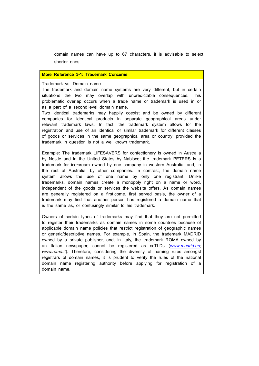domain names can have up to 67 characters, it is advisable to select shorter ones.

## **More Reference 3**‐**1: Trademark Concerns**

## Trademark vs. Domain name

The trademark and domain name systems are very different, but in certain situations the two may overlap with unpredictable consequences. This problematic overlap occurs when a trade name or trademark is used in or as a part of a second‐level domain name.

Two identical trademarks may happily coexist and be owned by different companies for identical products in separate geographical areas under relevant trademark laws. In fact, the trademark system allows for the registration and use of an identical or similar trademark for different classes of goods or services in the same geographical area or country, provided the trademark in question is not a well‐known trademark.

Example: The trademark LIFESAVERS for confectionery is owned in Australia by Nestle and in the United States by Nabisco; the trademark PETERS is a trademark for ice-cream owned by one company in western Australia, and, in the rest of Australia, by other companies. In contrast, the domain name system allows the use of one name by only one registrant. Unlike trademarks, domain names create a monopoly right on a name or word, independent of the goods or services the website offers. As domain names are generally registered on a first‐come, first served basis, the owner of a trademark may find that another person has registered a domain name that is the same as, or confusingly similar to his trademark.

Owners of certain types of trademarks may find that they are not permitted to register their trademarks as domain names in some countries because of applicable domain name policies that restrict registration of geographic names or generic/descriptive names. For example, in Spain, the trademark MADRID owned by a private publisher, and, in Italy, the trademark ROMA owned by an Italian newspaper, cannot be registered as ccTLDs (*www.madrid.es*; *www.roma.it*). Therefore, considering the diversity of naming rules amongst registrars of domain names, it is prudent to verify the rules of the national domain name registering authority before applying for registration of a domain name.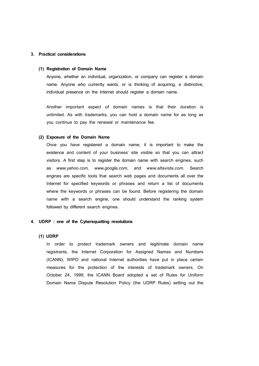# **3. Practical considerations**

#### **(1) Registration of Domain Name**

Anyone, whether an individual, organization, or company can register a domain name. Anyone who currently wants, or is thinking of acquiring, a distinctive, individual presence on the Internet should register a domain name.

Another important aspect of domain names is that their duration is unlimited. As with trademarks, you can hold a domain name for as long as you continue to pay the renewal or maintenance fee.

#### **(2) Exposure of the Domain Name**

Once you have registered a domain name, it is important to make the existence and content of your business' site visible so that you can attract visitors. A first step is to register the domain name with search engines, such as *www.yahoo.com, www.google.com,* and *www.altavista.com.* Search engines are specific tools that search web pages and documents all over the Internet for specified keywords or phrases and return a list of documents where the keywords or phrases can be found. Before registering the domain name with a search engine, one should understand the ranking system followed by different search engines.

## **4. UDRP : one of the Cybersquatting resolutions**

#### **(1) UDRP**

In order to protect trademark owners and legitimate domain name registrants, the Internet Corporation for Assigned Names and Numbers (ICANN), WIPO and national Internet authorities have put in place certain measures for the protection of the interests of trademark owners. On October 24, 1999, the ICANN Board adopted a set of Rules for Uniform Domain Name Dispute Resolution Policy (the UDRP Rules) setting out the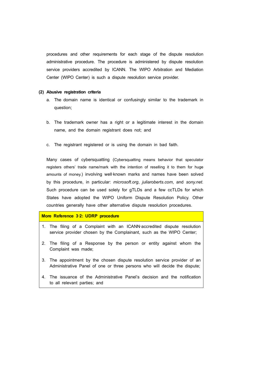procedures and other requirements for each stage of the dispute resolution administrative procedure. The procedure is administered by dispute resolution service providers accredited by ICANN. The WIPO Arbitration and Mediation Center (WIPO Center) is such a dispute resolution service provider.

#### **(2) Abusive registration criteria**

- a. The domain name is identical or confusingly similar to the trademark in question;
- b. The trademark owner has a right or a legitimate interest in the domain name, and the domain registrant does not; and
- c. The registrant registered or is using the domain in bad faith.

Many cases of cybersquatting (Cybersquatting means behavior that speculator registers others' trade name/mark with the intention of reselling it to them for huge amounts of money.) involving well-known marks and names have been solved by this procedure, in particular: *microsoft.org*, *juliaroberts.com*, and *sony.net*. Such procedure can be used solely for gTLDs and a few ccTLDs for which States have adopted the WIPO Uniform Dispute Resolution Policy. Other countries generally have other alternative dispute resolution procedures.

#### **More Reference 3**‐**2: UDRP procedure**

- 1. The filing of a Complaint with an ICANN‐accredited dispute resolution service provider chosen by the Complainant, such as the WIPO Center;
- 2. The filing of a Response by the person or entity against whom the Complaint was made;
- 3. The appointment by the chosen dispute resolution service provider of an Administrative Panel of one or three persons who will decide the dispute;
- 4. The issuance of the Administrative Panel's decision and the notification to all relevant parties; and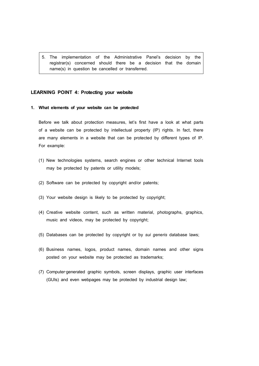5. The implementation of the Administrative Panel's decision by the registrar(s) concerned should there be a decision that the domain name(s) in question be cancelled or transferred.

## **LEARNING POINT 4: Protecting your website**

**1. What elements of your website can be protected**

Before we talk about protection measures, let's first have a look at what parts of a website can be protected by intellectual property (IP) rights. In fact, there are many elements in a website that can be protected by different types of IP. For example:

- (1) New technologies systems, search engines or other technical Internet tools may be protected by patents or utility models;
- (2) Software can be protected by copyright and/or patents;
- (3) Your website design is likely to be protected by copyright;
- (4) Creative website content, such as written material, photographs, graphics, music and videos, may be protected by copyright;
- (5) Databases can be protected by copyright or by *sui generis* database laws;
- (6) Business names, logos, product names, domain names and other signs posted on your website may be protected as trademarks;
- (7) Computer‐generated graphic symbols, screen displays, graphic user interfaces (GUIs) and even webpages may be protected by industrial design law;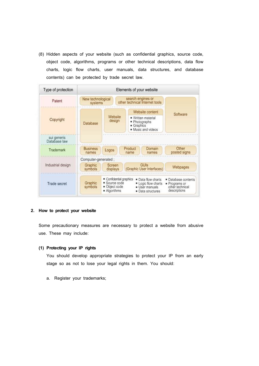(8) Hidden aspects of your website (such as confidential graphics, source code, object code, algorithms, programs or other technical descriptions, data flow charts, logic flow charts, user manuals, data structures, and database contents) can be protected by trade secret law.

| Type of protection          | Elements of your website     |                                                                                                                                                     |                                                                        |                                                                       |  |
|-----------------------------|------------------------------|-----------------------------------------------------------------------------------------------------------------------------------------------------|------------------------------------------------------------------------|-----------------------------------------------------------------------|--|
| Patent                      | New technological<br>systems |                                                                                                                                                     |                                                                        |                                                                       |  |
|                             |                              |                                                                                                                                                     | Website content                                                        | Software                                                              |  |
| Copyright                   | Database                     | Website<br>design                                                                                                                                   | Written material<br>Photographs<br>s<br>Graphics<br>• Music and videos |                                                                       |  |
| sui generis<br>Database law |                              |                                                                                                                                                     |                                                                        |                                                                       |  |
| Trademark                   | <b>Business</b><br>names     | Logos                                                                                                                                               | Product<br>Domain<br>name<br>names                                     | Other<br>posted signs                                                 |  |
| Industrial design           | Computer-generated;          |                                                                                                                                                     |                                                                        |                                                                       |  |
|                             | Graphic<br>symbols           | Screen<br>displays                                                                                                                                  | GUIS<br>(Graphic User Interfaces)                                      | Webpages                                                              |  |
| Trade secret                | Graphic<br>symbols           | Confidential graphics<br>· Data flow charts<br>Source code<br>" Logic flow charts<br>Object code<br>User manuals<br>Algorithms<br>• Data structures |                                                                        | " Database contents<br>Programs or<br>other technical<br>descriptions |  |

# **2. How to protect your website**

Some precautionary measures are necessary to protect a website from abusive use. These may include:

## **(1) Protecting your IP rights**

You should develop appropriate strategies to protect your IP from an early stage so as not to lose your legal rights in them. You should:

a. Register your trademarks;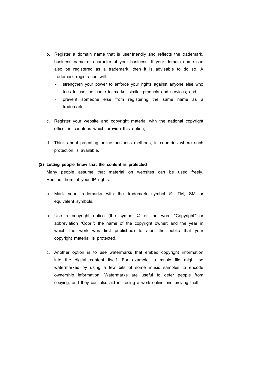- b. Register a domain name that is user-friendly and reflects the trademark, business name or character of your business. If your domain name can also be registered as a trademark, then it is advisable to do so. A trademark registration will:
	- strengthen your power to enforce your rights against anyone else who tries to use the name to market similar products and services; and
	- prevent someone else from registering the same name as a trademark.
- c. Register your website and copyright material with the national copyright office, in countries which provide this option;
- d. Think about patenting online business methods, in countries where such protection is available.

## **(2) Letting people know that the content is protected**

Many people assume that material on websites can be used freely. Remind them of your IP rights.

- a. Mark your trademarks with the trademark symbol ®, TM, SM or equivalent symbols.
- b. Use a copyright notice (the symbol © or the word "Copyright" or abbreviation "Copr."; the name of the copyright owner; and the year in which the work was first published) to alert the public that your copyright material is protected.
- c. Another option is to use watermarks that embed copyright information into the digital content itself. For example, a music file might be watermarked by using a few bits of some music samples to encode ownership information. Watermarks are useful to deter people from copying, and they can also aid in tracing a work online and proving theft.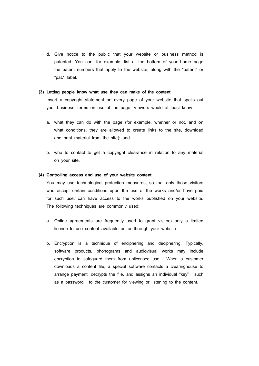d. Give notice to the public that your website or business method is patented. You can, for example, list at the bottom of your home page the patent numbers that apply to the website, along with the "patent" or "pat." label.

#### **(3) Letting people know what use they can make of the content**

Insert a copyright statement on every page of your website that spells out your business' terms on use of the page. Viewers would at least know

- a. what they can do with the page (for example, whether or not, and on what conditions, they are allowed to create links to the site, download and print material from the site); and
- b. who to contact to get a copyright clearance in relation to any material on your site.

#### **(4) Controlling access and use of your website content**

You may use technological protection measures, so that only those visitors who accept certain conditions upon the use of the works and/or have paid for such use, can have access to the works published on your website. The following techniques are commonly used:

- a. Online agreements are frequently used to grant visitors only a limited license to use content available on or through your website.
- b. Encryption is a technique of enciphering and deciphering. Typically, software products, phonograms and audiovisual works may include encryption to safeguard them from unlicensed use. When a customer downloads a content file, a special software contacts a clearinghouse to arrange payment, decrypts the file, and assigns an individual "key" ‐ such as a password ‐ to the customer for viewing or listening to the content.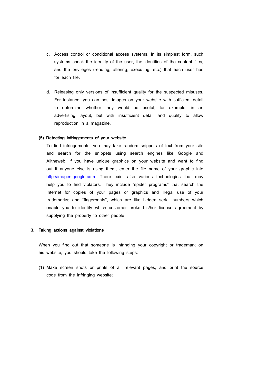- c. Access control or conditional access systems. In its simplest form, such systems check the identity of the user, the identities of the content files, and the privileges (reading, altering, executing, etc.) that each user has for each file.
- d. Releasing only versions of insufficient quality for the suspected misuses. For instance, you can post images on your website with sufficient detail to determine whether they would be useful, for example, in an advertising layout, but with insufficient detail and quality to allow reproduction in a magazine.

#### **(5) Detecting infringements of your website**

To find infringements, you may take random snippets of text from your site and search for the snippets using search engines like Google and Alltheweb. If you have unique graphics on your website and want to find out if anyone else is using them, enter the file name of your graphic into http://images.google.com. There exist also various technologies that may help you to find violators. They include "spider programs" that search the Internet for copies of your pages or graphics and illegal use of your trademarks; and "fingerprints", which are like hidden serial numbers which enable you to identify which customer broke his/her license agreement by supplying the property to other people.

## **3. Taking actions against violations**

When you find out that someone is infringing your copyright or trademark on his website, you should take the following steps:

(1) Make screen shots or prints of all relevant pages, and print the source code from the infringing website;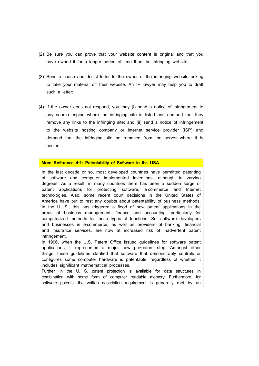- (2) Be sure you can prove that your website content is original and that you have owned it for a longer period of time than the infringing website;
- (3) Send a cease and desist letter to the owner of the infringing website asking to take your material off their website. An IP lawyer may help you to draft such a letter:
- (4) If the owner does not respond, you may (i) send a notice of infringement to any search engine where the infringing site is listed and demand that they remove any links to the infringing site; and (ii) send a notice of infringement to the website hosting company or internet service provider (ISP) and demand that the infringing site be removed from the server where it is hosted.

# **More Reference 4**‐**1: Patentability of Software in the USA**

In the last decade or so, most developed countries have permitted patenting of software and computer implemented inventions, although to varying degrees. As a result, in many countries there has been a sudden surge of patent applications for protecting software, e-commerce and Internet technologies. Also, some recent court decisions in the United States of America have put to rest any doubts about patentability of business methods. In the U. S., this has triggered a flood of new patent applications in the areas of business management, finance and accounting, particularly for computerized methods for these types of functions. So, software developers and businesses in e-commerce, as well as providers of banking, financial and insurance services, are now at increased risk of inadvertent patent infringement.

In 1996, when the U.S. Patent Office issued guidelines for software patent applications, it represented a major new pro-patent step. Amongst other things, these guidelines clarified that software that demonstrably controls or configures some computer hardware is patentable, regardless of whether it includes significant mathematical processes.

Further, in the U. S. patent protection is available for data structures in combination with some form of computer readable memory. Furthermore, for software patents, the written description requirement is generally met by an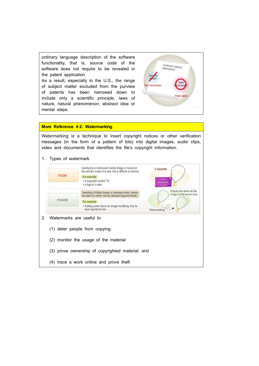ordinary language description of the software functionality, that is, source code of the software does not require to be revealed in the patent application.

As a result, especially in the U.S., the range of subject matter excluded from the purview Not necessary of patents has been narrowed down to include only a scientific principle, laws of nature, natural phenomenon, abstract idea or mental steps.



## **More Reference 4**‐**2: Watermarking**

Watermarking is a technique to insert copyright notices or other verification messages (in the form of a pattern of bits) into digital images, audio clips, video and documents that identifies the file's copyright information.

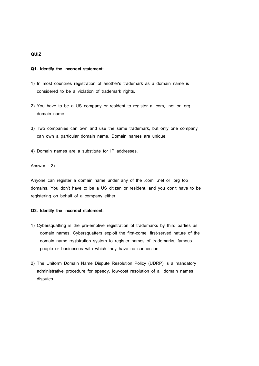# **QUIZ**

#### **Q1. Identify the incorrect statement:**

- 1) In most countries registration of another's trademark as a domain name is considered to be a violation of trademark rights.
- 2) You have to be a US company or resident to register a .com, .net or .org domain name.
- 3) Two companies can own and use the same trademark, but only one company can own a particular domain name. Domain names are unique.
- 4) Domain names are a substitute for IP addresses.

Answer : 2)

Anyone can register a domain name under any of the .com, .net or .org top domains. You don't have to be a US citizen or resident, and you don't have to be registering on behalf of a company either.

## **Q2. Identify the incorrect statement:**

- 1) Cybersquatting is the pre-emptive registration of trademarks by third parties as domain names. Cybersquatters exploit the first-come, first-served nature of the domain name registration system to register names of trademarks, famous people or businesses with which they have no connection.
- 2) The Uniform Domain Name Dispute Resolution Policy (UDRP) is a mandatory administrative procedure for speedy, low-cost resolution of all domain names disputes.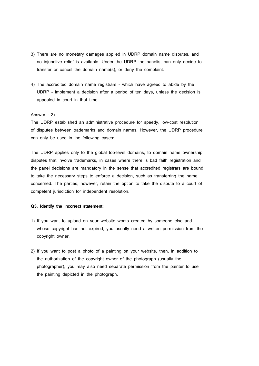- 3) There are no monetary damages applied in UDRP domain name disputes, and no injunctive relief is available. Under the UDRP the panelist can only decide to transfer or cancel the domain name(s), or deny the complaint.
- 4) The accredited domain name registrars which have agreed to abide by the UDRP - implement a decision after a period of ten days, unless the decision is appealed in court in that time.

## Answer : 2)

The UDRP established an administrative procedure for speedy, low-cost resolution of disputes between trademarks and domain names. However, the UDRP procedure can only be used in the following cases:

The UDRP applies only to the global top-level domains, to domain name ownership disputes that involve trademarks, in cases where there is bad faith registration and the panel decisions are mandatory in the sense that accredited registrars are bound to take the necessary steps to enforce a decision, such as transferring the name concerned. The parties, however, retain the option to take the dispute to a court of competent jurisdiction for independent resolution.

## **Q3. Identify the incorrect statement:**

- 1) If you want to upload on your website works created by someone else and whose copyright has not expired, you usually need a written permission from the copyright owner.
- 2) If you want to post a photo of a painting on your website, then, in addition to the authorization of the copyright owner of the photograph (usually the photographer), you may also need separate permission from the painter to use the painting depicted in the photograph.